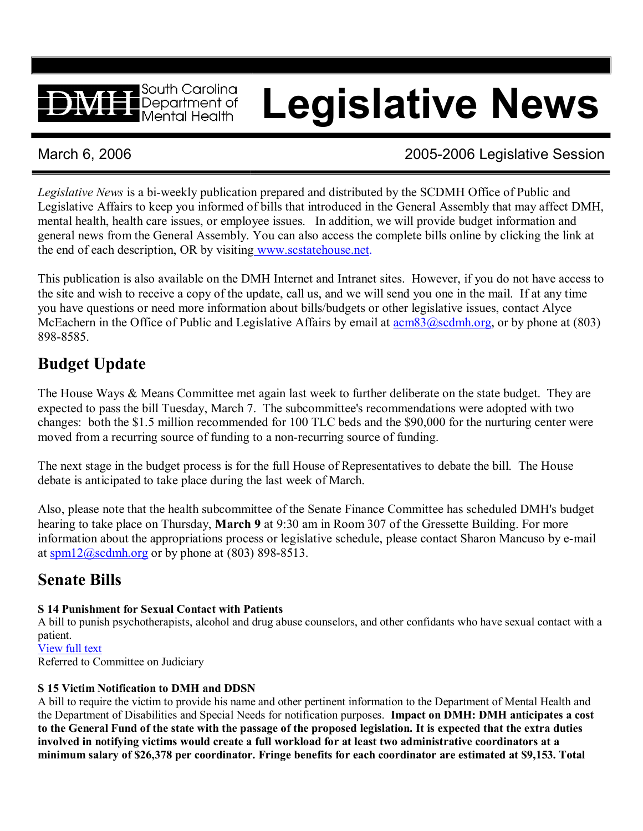# **Legislative News**

 $\blacksquare$  South Carolina  $\blacksquare$  Department of Mental Health

## March 6, 2006 **2006** 2005-2006 Legislative Session

*Legislative News* is a bi-weekly publication prepared and distributed by the SCDMH Office of Public and Legislative Affairs to keep you informed of bills that introduced in the General Assembly that may affect DMH, mental health, health care issues, or employee issues. In addition, we will provide budget information and general news from the General Assembly. You can also access the complete bills online by clicking the link at the end of each description, OR by visiting [www.scstatehouse.net.](http://www.scstatehouse.net/)

This publication is also available on the DMH Internet and Intranet sites. However, if you do not have access to the site and wish to receive a copy of the update, call us, and we will send you one in the mail. If at any time you have questions or need more information about bills/budgets or other legislative issues, contact Alyce McEachern in the Office of Public and Legislative Affairs by email at  $\frac{acm83@scdmh.org}{acm83@scdmh.org}$  $\frac{acm83@scdmh.org}{acm83@scdmh.org}$  $\frac{acm83@scdmh.org}{acm83@scdmh.org}$ , or by phone at (803) 898-8585.

# **Budget Update**

The House Ways & Means Committee met again last week to further deliberate on the state budget. They are expected to pass the bill Tuesday, March 7. The subcommittee's recommendations were adopted with two changes: both the \$1.5 million recommended for 100 TLC beds and the \$90,000 for the nurturing center were moved from a recurring source of funding to a non-recurring source of funding.

The next stage in the budget process is for the full House of Representatives to debate the bill. The House debate is anticipated to take place during the last week of March.

Also, please note that the health subcommittee of the Senate Finance Committee has scheduled DMH's budget hearing to take place on Thursday, **March 9** at 9:30 am in Room 307 of the Gressette Building. For more information about the appropriations process or legislative schedule, please contact Sharon Mancuso by email at [spm12@scdmh.org](mailto:spm12@scdmh.org) or by phone at  $(803)$  898-8513.

# **Senate Bills**

#### **S 14 Punishment for Sexual Contact with Patients**

A bill to punish psychotherapists, alcohol and drug abuse counselors, and other confidants who have sexual contact with a patient. [View](http://www.scstatehouse.net/sess116_2005-2006/bills/14.htm) full text

Referred to Committee on Judiciary

### **S 15 Victim Notification to DMH and DDSN**

A bill to require the victim to provide his name and other pertinent information to the Department of Mental Health and the Department of Disabilities and Special Needs for notification purposes. **Impact on DMH: DMH anticipates a cost**  to the General Fund of the state with the passage of the proposed legislation. It is expected that the extra duties **involved in notifying victims would create a full workload for at least two administrative coordinators at a minimum salary of \$26,378 per coordinator. Fringe benefits for each coordinator are estimated at \$9,153. Total**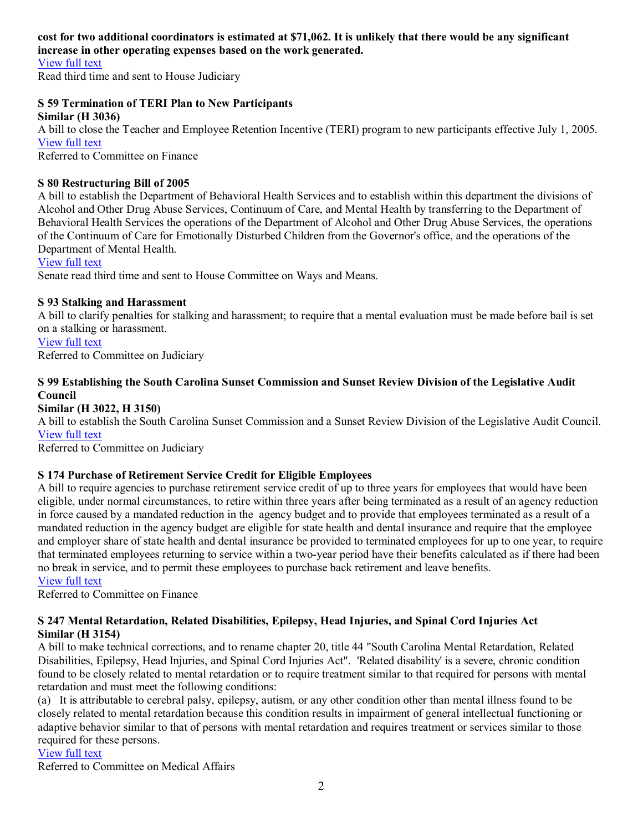#### **cost for two additional coordinators is estimated at \$71,062. It is unlikely that there would be any significant increase in other operating expenses based on the work generated.**

[View](http://www.scstatehouse.net/sess116_2005-2006/bills/15.htm) full text

Read third time and sent to House Judiciary

#### **S 59 Termination of TERI Plan to New Participants**

**Similar (H 3036)** A bill to close the Teacher and Employee Retention Incentive (TERI) program to new participants effective July 1, 2005. [View](http://www.scstatehouse.net/sess116_2005-2006/bills/59.htm) full text

Referred to Committee on Finance

#### **S 80 Restructuring Bill of 2005**

A bill to establish the Department of Behavioral Health Services and to establish within this department the divisions of Alcohol and Other Drug Abuse Services, Continuum of Care, and Mental Health by transferring to the Department of Behavioral Health Services the operations of the Department of Alcohol and Other Drug Abuse Services, the operations of the Continuum of Care for Emotionally Disturbed Children from the Governor's office, and the operations of the Department of Mental Health.

[View](http://www.scstatehouse.net/sess116_2005-2006/bills/80.htm) full text

Senate read third time and sent to House Committee on Ways and Means.

#### **S 93 Stalking and Harassment**

A bill to clarify penalties for stalking and harassment; to require that a mental evaluation must be made before bail is set on a stalking or harassment.

[View](http://www.scstatehouse.net/sess116_2005-2006/bills/93.htm) full text Referred to Committee on Judiciary

#### **S 99 Establishing the South Carolina Sunset Commission and Sunset Review Division of the Legislative Audit Council**

#### **Similar (H 3022, H 3150)**

A bill to establish the South Carolina Sunset Commission and a Sunset Review Division of the Legislative Audit Council. [View](http://www.scstatehouse.net/sess116_2005-2006/bills/99.htm) full text

Referred to Committee on Judiciary

#### **S 174 Purchase of Retirement Service Credit for Eligible Employees**

A bill to require agencies to purchase retirement service credit of up to three years for employees that would have been eligible, under normal circumstances, to retire within three years after being terminated as a result of an agency reduction in force caused by a mandated reduction in the agency budget and to provide that employees terminated as a result of a mandated reduction in the agency budget are eligible for state health and dental insurance and require that the employee and employer share of state health and dental insurance be provided to terminated employees for up to one year, to require that terminated employees returning to service within a two-year period have their benefits calculated as if there had been no break in service, and to permit these employees to purchase back retirement and leave benefits.

[View](http://www.scstatehouse.net/sess116_2005-2006/bills/174.htm) full text

Referred to Committee on Finance

#### **S 247 Mental Retardation, Related Disabilities, Epilepsy, Head Injuries, and Spinal Cord Injuries Act Similar (H 3154)**

A bill to make technical corrections, and to rename chapter 20, title 44 "South Carolina Mental Retardation, Related Disabilities, Epilepsy, Head Injuries, and Spinal Cord Injuries Act". 'Related disability' is a severe, chronic condition found to be closely related to mental retardation or to require treatment similar to that required for persons with mental retardation and must meet the following conditions:

(a) It is attributable to cerebral palsy, epilepsy, autism, or any other condition other than mental illness found to be closely related to mental retardation because this condition results in impairment of general intellectual functioning or adaptive behavior similar to that of persons with mental retardation and requires treatment or services similar to those required for these persons.

#### [View](http://www.scstatehouse.net/sess116_2005-2006/bills/247.htm) full text

Referred to Committee on Medical Affairs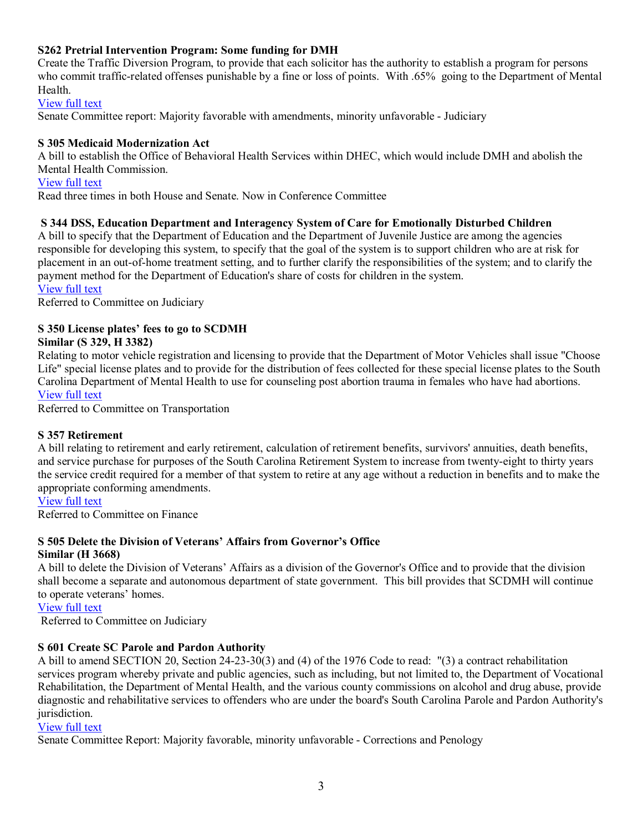#### **S262 Pretrial Intervention Program: Some funding for DMH**

Create the Traffic Diversion Program, to provide that each solicitor has the authority to establish a program for persons who commit traffic-related offenses punishable by a fine or loss of points. With .65% going to the Department of Mental **Health** 

[View](http://www.scstatehouse.net/sess116_2005-2006/bills/262.htm) full text

Senate Committee report: Majority favorable with amendments, minority unfavorable Judiciary

#### **S 305 Medicaid Modernization Act**

A bill to establish the Office of Behavioral Health Services within DHEC, which would include DMH and abolish the Mental Health Commission. [View](http://www.scstatehouse.net/sess116_2005-2006/bills/305.htm) full text

Read three times in both House and Senate. Now in Conference Committee

#### **S 344 DSS, Education Department and Interagency System of Care for Emotionally Disturbed Children**

A bill to specify that the Department of Education and the Department of Juvenile Justice are among the agencies responsible for developing this system, to specify that the goal of the system is to support children who are at risk for placement in an out-of-home treatment setting, and to further clarify the responsibilities of the system; and to clarify the payment method for the Department of Education's share of costs for children in the system.

[View](http://www.scstatehouse.net/sess116_2005-2006/bills/344.htm) full text

Referred to Committee on Judiciary

#### **S 350 License plates' fees to go to SCDMH**

#### **Similar (S 329, H 3382)**

Relating to motor vehicle registration and licensing to provide that the Department of Motor Vehicles shall issue "Choose Life" special license plates and to provide for the distribution of fees collected for these special license plates to the South Carolina Department of Mental Health to use for counseling post abortion trauma in females who have had abortions. [View](http://www.scstatehouse.net/sess116_2005-2006/bills/350.htm) full text

Referred to Committee on Transportation

#### **S 357 Retirement**

A bill relating to retirement and early retirement, calculation of retirement benefits, survivors' annuities, death benefits, and service purchase for purposes of the South Carolina Retirement System to increase from twenty-eight to thirty years the service credit required for a member of that system to retire at any age without a reduction in benefits and to make the appropriate conforming amendments.

#### [View](http://www.scstatehouse.net/sess116_2005-2006/bills/357.htm) full text

Referred to Committee on Finance

#### **S 505 Delete the Division of Veterans' Affairs from Governor's Office Similar (H 3668)**

A bill to delete the Division of Veterans' Affairs as a division of the Governor's Office and to provide that the division shall become a separate and autonomous department of state government. This bill provides that SCDMH will continue to operate veterans' homes.

[View](http://www.scstatehouse.net/sess116_2005-2006/bills/505.htm) full text

Referred to Committee on Judiciary

#### **S 601 Create SC Parole and Pardon Authority**

A bill to amend SECTION 20, Section 24-23-30(3) and (4) of the 1976 Code to read: "(3) a contract rehabilitation services program whereby private and public agencies, such as including, but not limited to, the Department of Vocational Rehabilitation, the Department of Mental Health, and the various county commissions on alcohol and drug abuse, provide diagnostic and rehabilitative services to offenders who are under the board's South Carolina Parole and Pardon Authority's jurisdiction.

#### [View](http://www.scstatehouse.net/sess116_2005-2006/bills/601.htm) full text

Senate Committee Report: Majority favorable, minority unfavorable Corrections and Penology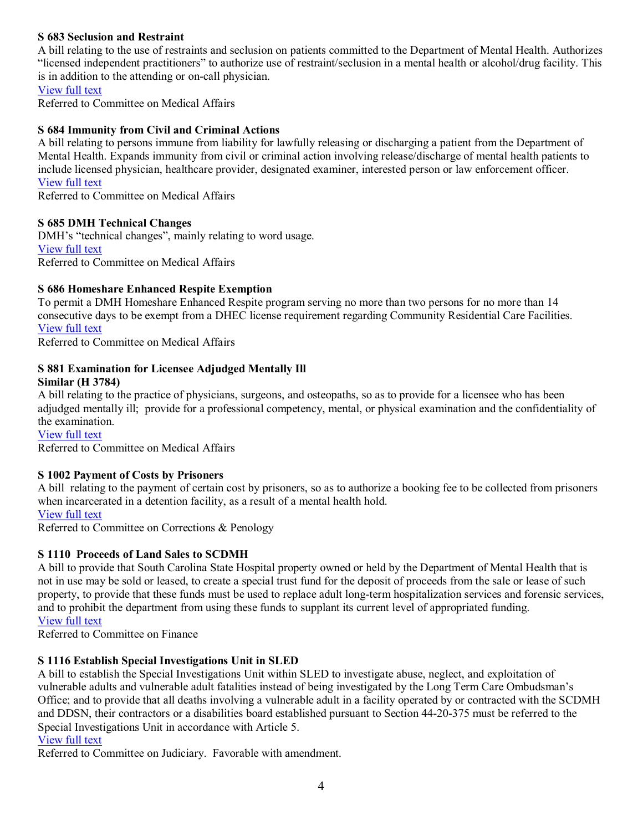#### **S 683 Seclusion and Restraint**

A bill relating to the use of restraints and seclusion on patients committed to the Department of Mental Health. Authorizes "licensed independent practitioners" to authorize use of restraint/seclusion in a mental health or alcohol/drug facility. This is in addition to the attending or on-call physician.

[View](http://www.scstatehouse.net/sess116_2005-2006/bills/683.htm) full text

Referred to Committee on Medical Affairs

#### **S 684 Immunity from Civil and Criminal Actions**

A bill relating to persons immune from liability for lawfully releasing or discharging a patient from the Department of Mental Health. Expands immunity from civil or criminal action involving release/discharge of mental health patients to include licensed physician, healthcare provider, designated examiner, interested person or law enforcement officer. [View](http://www.scstatehouse.net/sess116_2005-2006/bills/684.htm) full text

Referred to Committee on Medical Affairs

#### **S 685 DMH Technical Changes**

DMH's "technical changes", mainly relating to word usage. [View](http://www.scstatehouse.net/sess116_2005-2006/bills/685.htm) full text Referred to Committee on Medical Affairs

#### **S 686 Homeshare Enhanced Respite Exemption**

To permit a DMH Homeshare Enhanced Respite program serving no more than two persons for no more than 14 consecutive days to be exempt from a DHEC license requirement regarding Community Residential Care Facilities. [View](http://www.scstatehouse.net/sess116_2005-2006/bills/686.htm) full text

Referred to Committee on Medical Affairs

#### **S 881 Examination for Licensee Adjudged Mentally Ill Similar (H 3784)**

A bill relating to the practice of physicians, surgeons, and osteopaths, so as to provide for a licensee who has been adjudged mentally ill; provide for a professional competency, mental, or physical examination and the confidentiality of the examination.

[View](http://www.scstatehouse.net/sess116_2005-2006/bills/881.htm) full text

Referred to Committee on Medical Affairs

#### **S 1002 Payment of Costs by Prisoners**

A bill relating to the payment of certain cost by prisoners, so as to authorize a booking fee to be collected from prisoners when incarcerated in a detention facility, as a result of a mental health hold.

#### [View](http://www.scstatehouse.net/sess116_2005-2006/bills/1002.htm) full text

Referred to Committee on Corrections & Penology

#### **S 1110 Proceeds of Land Sales to SCDMH**

A bill to provide that South Carolina State Hospital property owned or held by the Department of Mental Health that is not in use may be sold or leased, to create a special trust fund for the deposit of proceeds from the sale or lease of such property, to provide that these funds must be used to replace adult long-term hospitalization services and forensic services, and to prohibit the department from using these funds to supplant its current level of appropriated funding. [View](http://www.scstatehouse.net/sess116_2005-2006/bills/1110.htm) full text

Referred to Committee on Finance

#### **S 1116 Establish Special Investigations Unit in SLED**

A bill to establish the Special Investigations Unit within SLED to investigate abuse, neglect, and exploitation of vulnerable adults and vulnerable adult fatalities instead of being investigated by the Long Term Care Ombudsman's Office; and to provide that all deaths involving a vulnerable adult in a facility operated by or contracted with the SCDMH and DDSN, their contractors or a disabilities board established pursuant to Section 44-20-375 must be referred to the Special Investigations Unit in accordance with Article 5.

#### [View](http://www.scstatehouse.net/sess116_2005-2006/bills/1116.htm) full text

Referred to Committee on Judiciary. Favorable with amendment.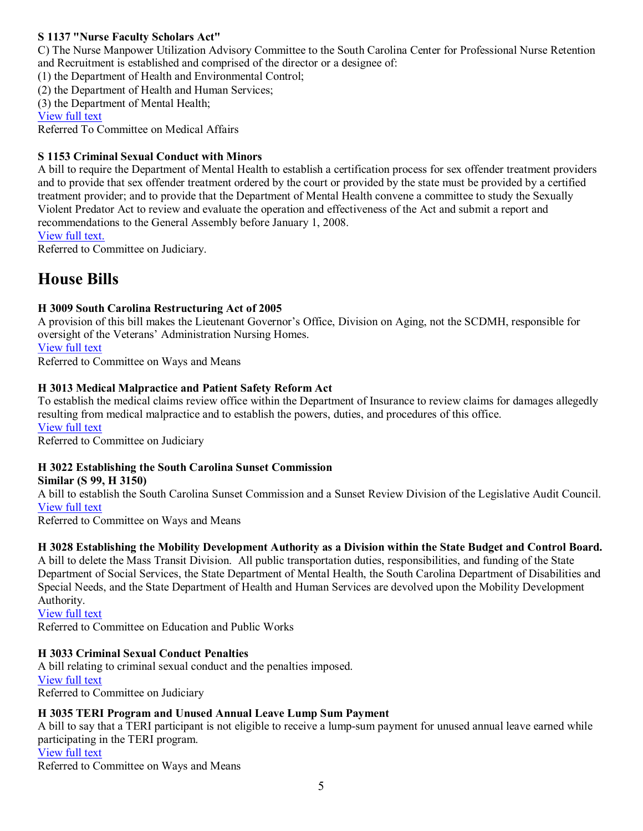#### **S 1137 "Nurse Faculty Scholars Act"**

C) The Nurse Manpower Utilization Advisory Committee to the South Carolina Center for Professional Nurse Retention and Recruitment is established and comprised of the director or a designee of:

(1) the Department of Health and Environmental Control;

(2) the Department of Health and Human Services;

(3) the Department of Mental Health;

[View](http://www.scstatehouse.net/sess116_2005-2006/bills/1137.htm) full text

Referred To Committee on Medical Affairs

#### **S 1153 Criminal Sexual Conduct with Minors**

A bill to require the Department of Mental Health to establish a certification process for sex offender treatment providers and to provide that sex offender treatment ordered by the court or provided by the state must be provided by a certified treatment provider; and to provide that the Department of Mental Health convene a committee to study the Sexually Violent Predator Act to review and evaluate the operation and effectiveness of the Act and submit a report and recommendations to the General Assembly before January 1, 2008.

[View](http://www.scstatehouse.net/sess116_2005-2006/prever/1153_20060216.htm) full text.

Referred to Committee on Judiciary.

# **House Bills**

#### **H 3009 South Carolina Restructuring Act of 2005**

A provision of this bill makes the Lieutenant Governor's Office, Division on Aging, not the SCDMH, responsible for oversight of the Veterans' Administration Nursing Homes.

[View](http://www.scstatehouse.net/sess116_2005-2006/bills/3009.htm) full text

Referred to Committee on Ways and Means

#### **H 3013 Medical Malpractice and Patient Safety Reform Act**

To establish the medical claims review office within the Department of Insurance to review claims for damages allegedly resulting from medical malpractice and to establish the powers, duties, and procedures of this office. [View](http://www.scstatehouse.net/sess116_2005-2006/bills/3013.htm) full text

Referred to Committee on Judiciary

#### **H 3022 Establishing the South Carolina Sunset Commission**

#### **Similar (S 99, H 3150)**

A bill to establish the South Carolina Sunset Commission and a Sunset Review Division of the Legislative Audit Council. [View](http://www.scstatehouse.net/sess116_2005-2006/bills/3022.htm) full text

Referred to Committee on Ways and Means

#### **H 3028 Establishing the Mobility Development Authority as a Division within the State Budget and Control Board.**

A bill to delete the Mass Transit Division. All public transportation duties, responsibilities, and funding of the State Department of Social Services, the State Department of Mental Health, the South Carolina Department of Disabilities and Special Needs, and the State Department of Health and Human Services are devolved upon the Mobility Development Authority.

[View](http://www.scstatehouse.net/sess116_2005-2006/bills/3028.htm) full text

Referred to Committee on Education and Public Works

#### **H 3033 Criminal Sexual Conduct Penalties**

A bill relating to criminal sexual conduct and the penalties imposed. [View](http://www.scstatehouse.net/sess116_2005-2006/bills/3033.htm) full text Referred to Committee on Judiciary

#### **H 3035 TERI Program and Unused Annual Leave Lump Sum Payment**

A bill to say that a TERI participant is not eligible to receive a lump-sum payment for unused annual leave earned while participating in the TERI program. [View](http://www.scstatehouse.net/sess116_2005-2006/bills/3035.htm) full text Referred to Committee on Ways and Means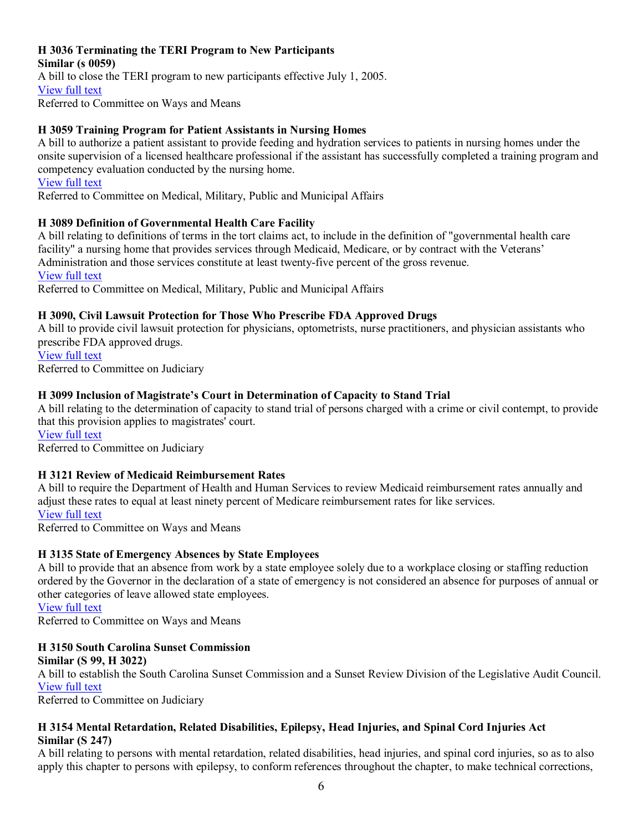#### **H 3036 Terminating the TERI Program to New Participants**

**Similar (s 0059)** A bill to close the TERI program to new participants effective July 1, 2005. [View](http://www.scstatehouse.net/sess116_2005-2006/bills/3036.htm) full text Referred to Committee on Ways and Means

#### **H 3059 Training Program for Patient Assistants in Nursing Homes**

A bill to authorize a patient assistant to provide feeding and hydration services to patients in nursing homes under the onsite supervision of a licensed healthcare professional if the assistant has successfully completed a training program and competency evaluation conducted by the nursing home.

[View](http://www.scstatehouse.net/sess116_2005-2006/bills/3059.htm) full text

Referred to Committee on Medical, Military, Public and Municipal Affairs

#### **H 3089 Definition of Governmental Health Care Facility**

A bill relating to definitions of terms in the tort claims act, to include in the definition of "governmental health care facility" a nursing home that provides services through Medicaid, Medicare, or by contract with the Veterans' Administration and those services constitute at least twenty-five percent of the gross revenue. [View](http://www.scstatehouse.net/sess116_2005-2006/bills/3089.htm) full text

Referred to Committee on Medical, Military, Public and Municipal Affairs

#### **H 3090, Civil Lawsuit Protection for Those Who Prescribe FDA Approved Drugs**

A bill to provide civil lawsuit protection for physicians, optometrists, nurse practitioners, and physician assistants who prescribe FDA approved drugs. [View](http://www.scstatehouse.net/sess116_2005-2006/bills/3090.htm) full text

Referred to Committee on Judiciary

#### **H 3099 Inclusion of Magistrate's Court in Determination of Capacity to Stand Trial**

A bill relating to the determination of capacity to stand trial of persons charged with a crime or civil contempt, to provide that this provision applies to magistrates' court.

[View](http://www.scstatehouse.net/sess116_2005-2006/bills/3099.htm) full text

Referred to Committee on Judiciary

#### **H 3121 Review of Medicaid Reimbursement Rates**

A bill to require the Department of Health and Human Services to review Medicaid reimbursement rates annually and adjust these rates to equal at least ninety percent of Medicare reimbursement rates for like services. [View](http://www.scstatehouse.net/sess116_2005-2006/bills/3121.htm) full text

Referred to Committee on Ways and Means

#### **H 3135 State of Emergency Absences by State Employees**

A bill to provide that an absence from work by a state employee solely due to a workplace closing or staffing reduction ordered by the Governor in the declaration of a state of emergency is not considered an absence for purposes of annual or other categories of leave allowed state employees.

[View](http://www.scstatehouse.net/sess116_2005-2006/bills/3135.htm) full text

Referred to Committee on Ways and Means

#### **H 3150 South Carolina Sunset Commission Similar (S 99, H 3022)**

A bill to establish the South Carolina Sunset Commission and a Sunset Review Division of the Legislative Audit Council. [View](http://www.scstatehouse.net/sess116_2005-2006/bills/3150.htm) full text

Referred to Committee on Judiciary

#### **H 3154 Mental Retardation, Related Disabilities, Epilepsy, Head Injuries, and Spinal Cord Injuries Act Similar (S 247)**

A bill relating to persons with mental retardation, related disabilities, head injuries, and spinal cord injuries, so as to also apply this chapter to persons with epilepsy, to conform references throughout the chapter, to make technical corrections,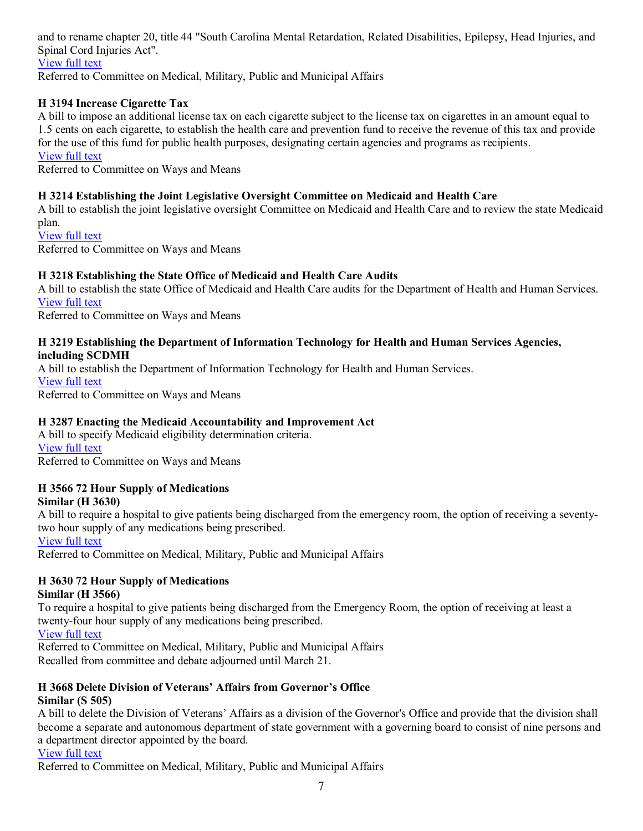and to rename chapter 20, title 44 "South Carolina Mental Retardation, Related Disabilities, Epilepsy, Head Injuries, and Spinal Cord Injuries Act". [View](http://www.scstatehouse.net/sess116_2005-2006/bills/3154.htm) full text

Referred to Committee on Medical, Military, Public and Municipal Affairs

#### **H 3194 Increase Cigarette Tax**

A bill to impose an additional license tax on each cigarette subject to the license tax on cigarettes in an amount equal to 1.5 cents on each cigarette, to establish the health care and prevention fund to receive the revenue of this tax and provide for the use of this fund for public health purposes, designating certain agencies and programs as recipients. [View](http://www.scstatehouse.net/sess116_2005-2006/bills/3194.htm) full text

Referred to Committee on Ways and Means

#### **H 3214 Establishing the Joint Legislative Oversight Committee on Medicaid and Health Care**

A bill to establish the joint legislative oversight Committee on Medicaid and Health Care and to review the state Medicaid plan.

[View](http://www.scstatehouse.net/sess116_2005-2006/bills/3214.htm) full text Referred to Committee on Ways and Means

#### **H 3218 Establishing the State Office of Medicaid and Health Care Audits**

A bill to establish the state Office of Medicaid and Health Care audits for the Department of Health and Human Services. [View](http://www.scstatehouse.net/sess116_2005-2006/bills/3218.htm) full text

Referred to Committee on Ways and Means

#### **H 3219 Establishing the Department of Information Technology for Health and Human Services Agencies, including SCDMH**

A bill to establish the Department of Information Technology for Health and Human Services. [View](http://www.scstatehouse.net/sess116_2005-2006/bills/3219.htm) full text Referred to Committee on Ways and Means

#### **H 3287 Enacting the Medicaid Accountability and Improvement Act**

A bill to specify Medicaid eligibility determination criteria. [View](http://www.scstatehouse.net/sess116_2005-2006/bills/3287.htm) full text Referred to Committee on Ways and Means

#### **H 3566 72 Hour Supply of Medications**

#### **Similar (H 3630)**

A bill to require a hospital to give patients being discharged from the emergency room, the option of receiving a seventytwo hour supply of any medications being prescribed.

#### [View](http://www.scstatehouse.net/sess116_2005-2006/bills/3566.htm) full text

Referred to Committee on Medical, Military, Public and Municipal Affairs

#### **H 3630 72 Hour Supply of Medications**

#### **Similar (H 3566)**

To require a hospital to give patients being discharged from the Emergency Room, the option of receiving at least a twenty-four hour supply of any medications being prescribed.

[View](http://www.scstatehouse.net/sess116_2005-2006/bills/3630.htm) full text

Referred to Committee on Medical, Military, Public and Municipal Affairs Recalled from committee and debate adjourned until March 21.

#### **H 3668 Delete Division of Veterans' Affairs from Governor's Office Similar (S 505)**

A bill to delete the Division of Veterans' Affairs as a division of the Governor's Office and provide that the division shall become a separate and autonomous department of state government with a governing board to consist of nine persons and a department director appointed by the board.

[View](http://www.scstatehouse.net/sess116_2005-2006/bills/3668.htm) full text

Referred to Committee on Medical, Military, Public and Municipal Affairs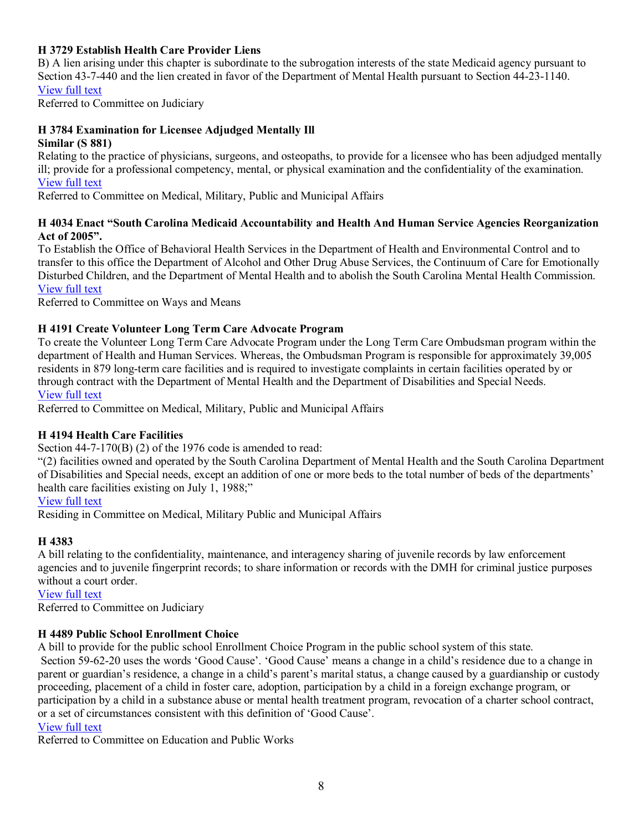#### **H 3729 Establish Health Care Provider Liens**

B) A lien arising under this chapter is subordinate to the subrogation interests of the state Medicaid agency pursuant to Section 43-7-440 and the lien created in favor of the Department of Mental Health pursuant to Section 44-23-1140. [View](http://www.scstatehouse.net/sess116_2005-2006/bills/3729.htm) full text

Referred to Committee on Judiciary

#### **H 3784 Examination for Licensee Adjudged Mentally Ill Similar (S 881)**

Relating to the practice of physicians, surgeons, and osteopaths, to provide for a licensee who has been adjudged mentally ill; provide for a professional competency, mental, or physical examination and the confidentiality of the examination. [View](http://www.scstatehouse.net/sess116_2005-2006/bills/3784.htm) full text

Referred to Committee on Medical, Military, Public and Municipal Affairs

#### **H 4034 Enact "South Carolina Medicaid Accountability and Health And Human Service Agencies Reorganization Act of 2005".**

To Establish the Office of Behavioral Health Services in the Department of Health and Environmental Control and to transfer to this office the Department of Alcohol and Other Drug Abuse Services, the Continuum of Care for Emotionally Disturbed Children, and the Department of Mental Health and to abolish the South Carolina Mental Health Commission. [View](http://www.scstatehouse.net/sess116_2005-2006/bills/4034.htm) full text

Referred to Committee on Ways and Means

#### **H 4191 Create Volunteer Long Term Care Advocate Program**

To create the Volunteer Long Term Care Advocate Program under the Long Term Care Ombudsman program within the department of Health and Human Services. Whereas, the Ombudsman Program is responsible for approximately 39,005 residents in 879 long-term care facilities and is required to investigate complaints in certain facilities operated by or through contract with the Department of Mental Health and the Department of Disabilities and Special Needs. [View](http://www.scstatehouse.net/sess116_2005-2006/bills/4191.htm) full text

Referred to Committee on Medical, Military, Public and Municipal Affairs

#### **H 4194 Health Care Facilities**

Section  $44-7-170(B)$  (2) of the 1976 code is amended to read:

"(2) facilities owned and operated by the South Carolina Department of Mental Health and the South Carolina Department of Disabilities and Special needs, except an addition of one or more beds to the total number of beds of the departments' health care facilities existing on July 1, 1988;"

#### [View](http://www.scstatehouse.net/sess116_2005-2006/prever/4194_20050524.htm) full text

Residing in Committee on Medical, Military Public and Municipal Affairs

#### **H 4383**

A bill relating to the confidentiality, maintenance, and interagency sharing of juvenile records by law enforcement agencies and to juvenile fingerprint records; to share information or records with the DMH for criminal justice purposes without a court order.

[View](http://www.scstatehouse.net/sess116_2005-2006/prever/4383_20060110.htm) full text

Referred to Committee on Judiciary

#### **H 4489 Public School Enrollment Choice**

A bill to provide for the public school Enrollment Choice Program in the public school system of this state. Section 59-62-20 uses the words 'Good Cause'. 'Good Cause' means a change in a child's residence due to a change in parent or guardian's residence, a change in a child's parent's marital status, a change caused by a guardianship or custody proceeding, placement of a child in foster care, adoption, participation by a child in a foreign exchange program, or participation by a child in a substance abuse or mental health treatment program, revocation of a charter school contract, or a set of circumstances consistent with this definition of 'Good Cause'.

#### [View](http://www.scstatehouse.net/sess116_2005-2006/bills/4489.htm) full text

Referred to Committee on Education and Public Works